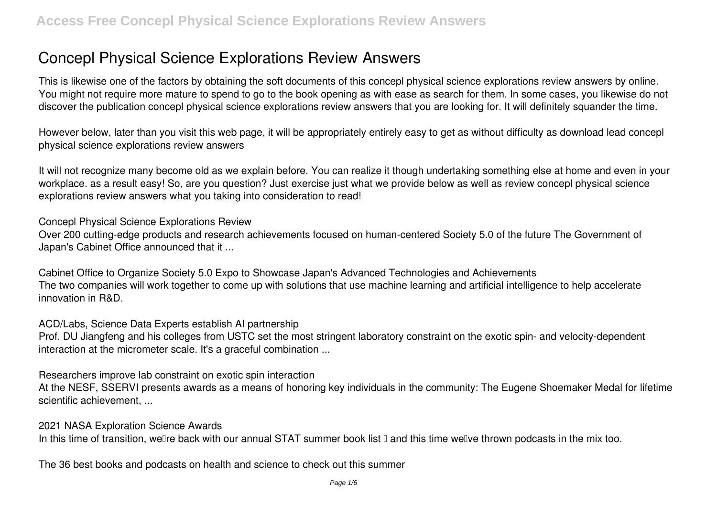# **Concepl Physical Science Explorations Review Answers**

This is likewise one of the factors by obtaining the soft documents of this **concepl physical science explorations review answers** by online. You might not require more mature to spend to go to the book opening as with ease as search for them. In some cases, you likewise do not discover the publication concepl physical science explorations review answers that you are looking for. It will definitely squander the time.

However below, later than you visit this web page, it will be appropriately entirely easy to get as without difficulty as download lead concepl physical science explorations review answers

It will not recognize many become old as we explain before. You can realize it though undertaking something else at home and even in your workplace. as a result easy! So, are you question? Just exercise just what we provide below as well as review **concepl physical science explorations review answers** what you taking into consideration to read!

*Concepl Physical Science Explorations Review*

Over 200 cutting-edge products and research achievements focused on human-centered Society 5.0 of the future The Government of Japan's Cabinet Office announced that it ...

*Cabinet Office to Organize Society 5.0 Expo to Showcase Japan's Advanced Technologies and Achievements* The two companies will work together to come up with solutions that use machine learning and artificial intelligence to help accelerate innovation in R&D.

*ACD/Labs, Science Data Experts establish AI partnership*

Prof. DU Jiangfeng and his colleges from USTC set the most stringent laboratory constraint on the exotic spin- and velocity-dependent interaction at the micrometer scale. It's a graceful combination ...

*Researchers improve lab constraint on exotic spin interaction*

At the NESF, SSERVI presents awards as a means of honoring key individuals in the community: The Eugene Shoemaker Medal for lifetime scientific achievement, ...

*2021 NASA Exploration Science Awards*

In this time of transition, wellre back with our annual STAT summer book list I and this time wellve thrown podcasts in the mix too.

*The 36 best books and podcasts on health and science to check out this summer*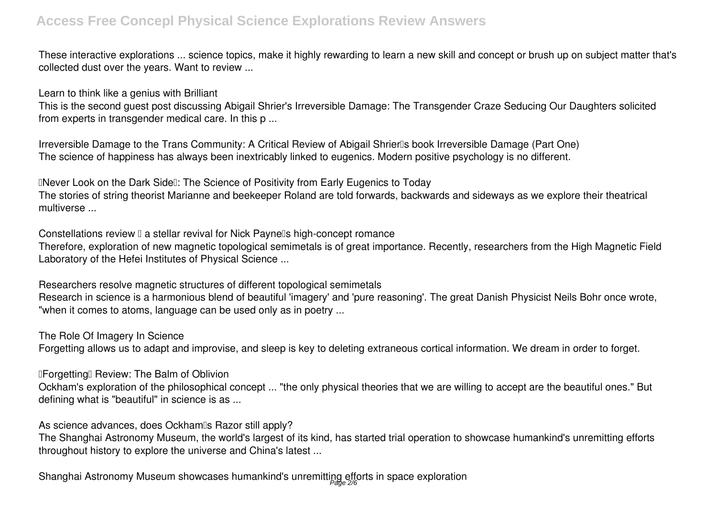These interactive explorations ... science topics, make it highly rewarding to learn a new skill and concept or brush up on subject matter that's collected dust over the years. Want to review ...

*Learn to think like a genius with Brilliant*

This is the second guest post discussing Abigail Shrier's Irreversible Damage: The Transgender Craze Seducing Our Daughters solicited from experts in transgender medical care. In this p ...

*Irreversible Damage to the Trans Community: A Critical Review of Abigail Shrier* is book *Irreversible Damage (Part One)* The science of happiness has always been inextricably linked to eugenics. Modern positive psychology is no different.

**"Never Look on the Dark Side !!: The Science of Positivity from Early Eugenics to Today** 

The stories of string theorist Marianne and beekeeper Roland are told forwards, backwards and sideways as we explore their theatrical multiverse ...

*Constellations review I a stellar revival for Nick PayneIs high-concept romance* Therefore, exploration of new magnetic topological semimetals is of great importance. Recently, researchers from the High Magnetic Field Laboratory of the Hefei Institutes of Physical Science ...

*Researchers resolve magnetic structures of different topological semimetals* Research in science is a harmonious blend of beautiful 'imagery' and 'pure reasoning'. The great Danish Physicist Neils Bohr once wrote, "when it comes to atoms, language can be used only as in poetry ...

*The Role Of Imagery In Science*

Forgetting allows us to adapt and improvise, and sleep is key to deleting extraneous cortical information. We dream in order to forget.

*'Forgetting' Review: The Balm of Oblivion*

Ockham's exploration of the philosophical concept ... "the only physical theories that we are willing to accept are the beautiful ones." But defining what is "beautiful" in science is as ...

As science advances, does Ockham<sup>®</sup>s Razor still apply?

The Shanghai Astronomy Museum, the world's largest of its kind, has started trial operation to showcase humankind's unremitting efforts throughout history to explore the universe and China's latest ...

*Shanghai Astronomy Museum showcases humankind's unremitting efforts in space exploration* Page 2/6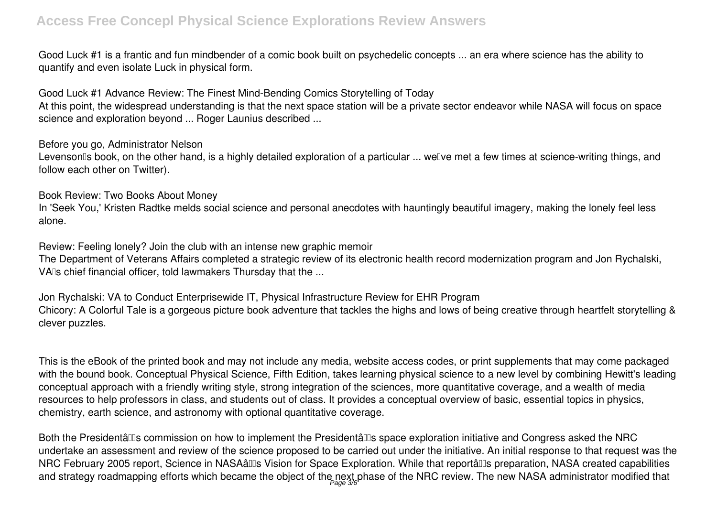Good Luck #1 is a frantic and fun mindbender of a comic book built on psychedelic concepts ... an era where science has the ability to quantify and even isolate Luck in physical form.

*Good Luck #1 Advance Review: The Finest Mind-Bending Comics Storytelling of Today*

At this point, the widespread understanding is that the next space station will be a private sector endeavor while NASA will focus on space science and exploration beyond ... Roger Launius described ...

*Before you go, Administrator Nelson*

Levenson<sup>®</sup>s book, on the other hand, is a highly detailed exploration of a particular ... we<sup>n</sup>ve met a few times at science-writing things, and follow each other on Twitter).

*Book Review: Two Books About Money*

In 'Seek You,' Kristen Radtke melds social science and personal anecdotes with hauntingly beautiful imagery, making the lonely feel less alone.

*Review: Feeling lonely? Join the club with an intense new graphic memoir*

The Department of Veterans Affairs completed a strategic review of its electronic health record modernization program and Jon Rychalski, VAIs chief financial officer, told lawmakers Thursday that the ...

*Jon Rychalski: VA to Conduct Enterprisewide IT, Physical Infrastructure Review for EHR Program* Chicory: A Colorful Tale is a gorgeous picture book adventure that tackles the highs and lows of being creative through heartfelt storytelling & clever puzzles.

This is the eBook of the printed book and may not include any media, website access codes, or print supplements that may come packaged with the bound book. Conceptual Physical Science, Fifth Edition, takes learning physical science to a new level by combining Hewitt's leading conceptual approach with a friendly writing style, strong integration of the sciences, more quantitative coverage, and a wealth of media resources to help professors in class, and students out of class. It provides a conceptual overview of basic, essential topics in physics, chemistry, earth science, and astronomy with optional quantitative coverage.

Both the Presidentâlls commission on how to implement the Presidentâlls space exploration initiative and Congress asked the NRC undertake an assessment and review of the science proposed to be carried out under the initiative. An initial response to that request was the NRC February 2005 report, Science in NASAâlls Vision for Space Exploration. While that reportâlls preparation, NASA created capabilities and strategy roadmapping efforts which became the object of the next phase of the NRC review. The new NASA administrator modified that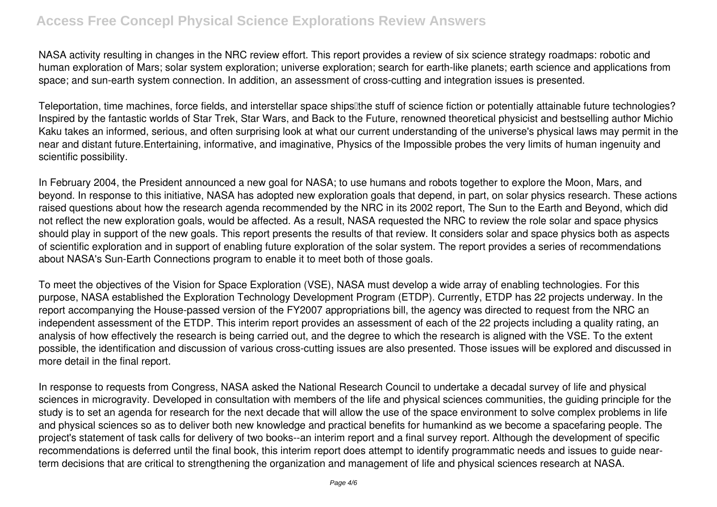NASA activity resulting in changes in the NRC review effort. This report provides a review of six science strategy roadmaps: robotic and human exploration of Mars; solar system exploration; universe exploration; search for earth-like planets; earth science and applications from space; and sun-earth system connection. In addition, an assessment of cross-cutting and integration issues is presented.

Teleportation, time machines, force fields, and interstellar space ships<sup>[]</sup>the stuff of science fiction or potentially attainable future technologies? Inspired by the fantastic worlds of Star Trek, Star Wars, and Back to the Future, renowned theoretical physicist and bestselling author Michio Kaku takes an informed, serious, and often surprising look at what our current understanding of the universe's physical laws may permit in the near and distant future.Entertaining, informative, and imaginative, Physics of the Impossible probes the very limits of human ingenuity and scientific possibility.

In February 2004, the President announced a new goal for NASA; to use humans and robots together to explore the Moon, Mars, and beyond. In response to this initiative, NASA has adopted new exploration goals that depend, in part, on solar physics research. These actions raised questions about how the research agenda recommended by the NRC in its 2002 report, The Sun to the Earth and Beyond, which did not reflect the new exploration goals, would be affected. As a result, NASA requested the NRC to review the role solar and space physics should play in support of the new goals. This report presents the results of that review. It considers solar and space physics both as aspects of scientific exploration and in support of enabling future exploration of the solar system. The report provides a series of recommendations about NASA's Sun-Earth Connections program to enable it to meet both of those goals.

To meet the objectives of the Vision for Space Exploration (VSE), NASA must develop a wide array of enabling technologies. For this purpose, NASA established the Exploration Technology Development Program (ETDP). Currently, ETDP has 22 projects underway. In the report accompanying the House-passed version of the FY2007 appropriations bill, the agency was directed to request from the NRC an independent assessment of the ETDP. This interim report provides an assessment of each of the 22 projects including a quality rating, an analysis of how effectively the research is being carried out, and the degree to which the research is aligned with the VSE. To the extent possible, the identification and discussion of various cross-cutting issues are also presented. Those issues will be explored and discussed in more detail in the final report.

In response to requests from Congress, NASA asked the National Research Council to undertake a decadal survey of life and physical sciences in microgravity. Developed in consultation with members of the life and physical sciences communities, the guiding principle for the study is to set an agenda for research for the next decade that will allow the use of the space environment to solve complex problems in life and physical sciences so as to deliver both new knowledge and practical benefits for humankind as we become a spacefaring people. The project's statement of task calls for delivery of two books--an interim report and a final survey report. Although the development of specific recommendations is deferred until the final book, this interim report does attempt to identify programmatic needs and issues to guide nearterm decisions that are critical to strengthening the organization and management of life and physical sciences research at NASA.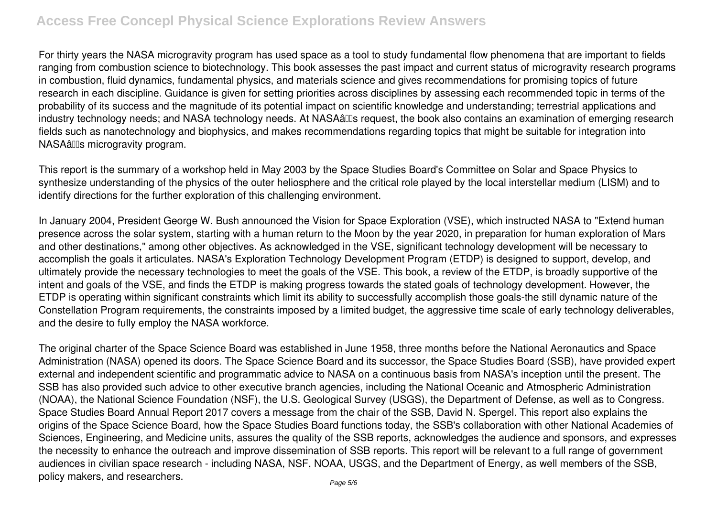For thirty years the NASA microgravity program has used space as a tool to study fundamental flow phenomena that are important to fields ranging from combustion science to biotechnology. This book assesses the past impact and current status of microgravity research programs in combustion, fluid dynamics, fundamental physics, and materials science and gives recommendations for promising topics of future research in each discipline. Guidance is given for setting priorities across disciplines by assessing each recommended topic in terms of the probability of its success and the magnitude of its potential impact on scientific knowledge and understanding; terrestrial applications and industry technology needs; and NASA technology needs. At NASA alls request, the book also contains an examination of emerging research fields such as nanotechnology and biophysics, and makes recommendations regarding topics that might be suitable for integration into NASAâ $\mathbb{I}$ s microgravity program.

This report is the summary of a workshop held in May 2003 by the Space Studies Board's Committee on Solar and Space Physics to synthesize understanding of the physics of the outer heliosphere and the critical role played by the local interstellar medium (LISM) and to identify directions for the further exploration of this challenging environment.

In January 2004, President George W. Bush announced the Vision for Space Exploration (VSE), which instructed NASA to "Extend human presence across the solar system, starting with a human return to the Moon by the year 2020, in preparation for human exploration of Mars and other destinations," among other objectives. As acknowledged in the VSE, significant technology development will be necessary to accomplish the goals it articulates. NASA's Exploration Technology Development Program (ETDP) is designed to support, develop, and ultimately provide the necessary technologies to meet the goals of the VSE. This book, a review of the ETDP, is broadly supportive of the intent and goals of the VSE, and finds the ETDP is making progress towards the stated goals of technology development. However, the ETDP is operating within significant constraints which limit its ability to successfully accomplish those goals-the still dynamic nature of the Constellation Program requirements, the constraints imposed by a limited budget, the aggressive time scale of early technology deliverables, and the desire to fully employ the NASA workforce.

The original charter of the Space Science Board was established in June 1958, three months before the National Aeronautics and Space Administration (NASA) opened its doors. The Space Science Board and its successor, the Space Studies Board (SSB), have provided expert external and independent scientific and programmatic advice to NASA on a continuous basis from NASA's inception until the present. The SSB has also provided such advice to other executive branch agencies, including the National Oceanic and Atmospheric Administration (NOAA), the National Science Foundation (NSF), the U.S. Geological Survey (USGS), the Department of Defense, as well as to Congress. Space Studies Board Annual Report 2017 covers a message from the chair of the SSB, David N. Spergel. This report also explains the origins of the Space Science Board, how the Space Studies Board functions today, the SSB's collaboration with other National Academies of Sciences, Engineering, and Medicine units, assures the quality of the SSB reports, acknowledges the audience and sponsors, and expresses the necessity to enhance the outreach and improve dissemination of SSB reports. This report will be relevant to a full range of government audiences in civilian space research - including NASA, NSF, NOAA, USGS, and the Department of Energy, as well members of the SSB, policy makers, and researchers.